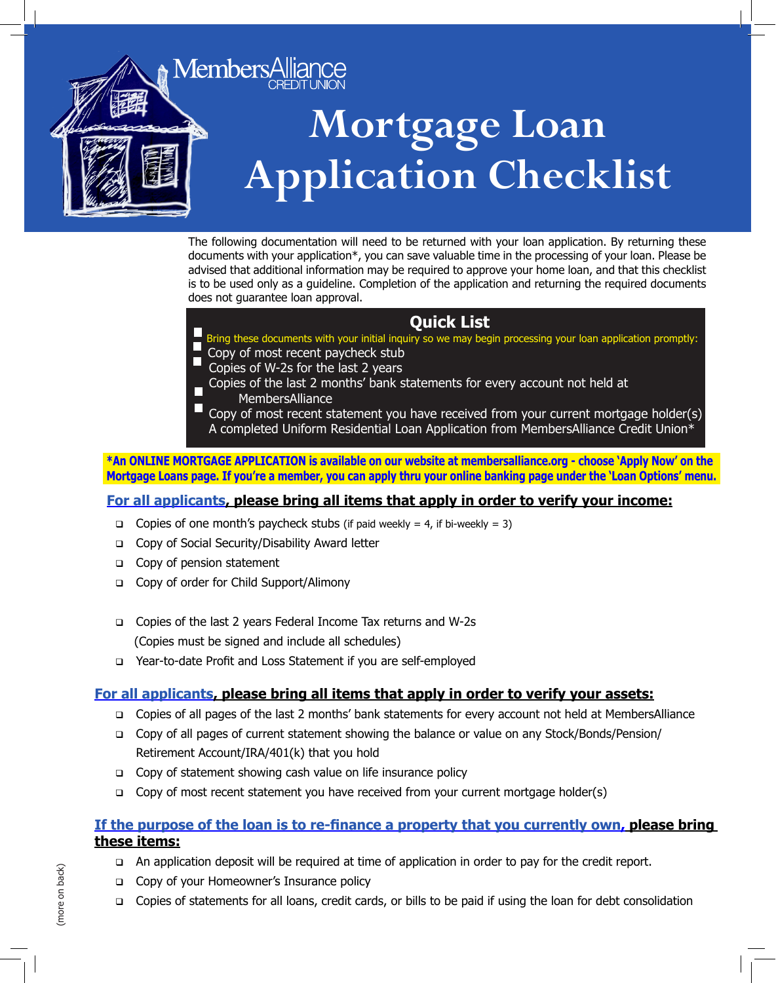

The following documentation will need to be returned with your loan application. By returning these documents with your application\*, you can save valuable time in the processing of your loan. Please be advised that additional information may be required to approve your home loan, and that this checklist is to be used only as a guideline. Completion of the application and returning the required documents does not guarantee loan approval.

# **Quick List**

Bring these documents with your initial inquiry so we may begin processing your loan application promptly:

- Copy of most recent paycheck stub
- Copies of W-2s for the last 2 years
- Copies of the last 2 months' bank statements for every account not held at
	- MembersAlliance

 Copy of most recent statement you have received from your current mortgage holder(s) A completed Uniform Residential Loan Application from MembersAlliance Credit Union\*

**\*An ONLINE MORTGAGE APPLICATION is available on our website at membersalliance.org - choose 'Apply Now' on the Mortgage Loans page. If you're a member, you can apply thru your online banking page under the 'Loan Options' menu.**

## **For all applicants, please bring all items that apply in order to verify your income:**

- Copies of one month's paycheck stubs (if paid weekly = 4, if bi-weekly = 3)
- □ Copy of Social Security/Disability Award letter
- Copy of pension statement
- Copy of order for Child Support/Alimony
- □ Copies of the last 2 years Federal Income Tax returns and W-2s (Copies must be signed and include all schedules)
- □ Year-to-date Profit and Loss Statement if you are self-employed

## **For all applicants, please bring all items that apply in order to verify your assets:**

- □ Copies of all pages of the last 2 months' bank statements for every account not held at MembersAlliance
- Copy of all pages of current statement showing the balance or value on any Stock/Bonds/Pension/ Retirement Account/IRA/401(k) that you hold
- □ Copy of statement showing cash value on life insurance policy
- □ Copy of most recent statement you have received from your current mortgage holder(s)

### **If the purpose of the loan is to re-finance a property that you currently own, please bring these items:**

- An application deposit will be required at time of application in order to pay for the credit report.
- Copy of your Homeowner's Insurance policy
- Copies of statements for all loans, credit cards, or bills to be paid if using the loan for debt consolidation